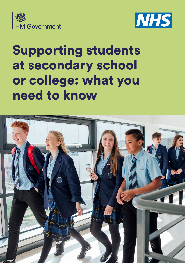



# Supporting students at secondary school or college: what you need to know

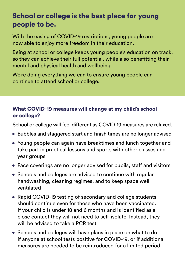# School or college is the best place for young people to be.

With the easing of COVID-19 restrictions, young people are now able to enjoy more freedom in their education.

Being at school or college keeps young people's education on track, so they can achieve their full potential, while also benefitting their mental and physical health and wellbeing.

We're doing everything we can to ensure young people can continue to attend school or college.

# What COVID-19 measures will change at my child's school or college?

School or college will feel different as COVID-19 measures are relaxed.

- Bubbles and staggered start and finish times are no longer advised
- Young people can again have breaktimes and lunch together and take part in practical lessons and sports with other classes and year groups
- Face coverings are no longer advised for pupils, staff and visitors
- Schools and colleges are advised to continue with regular handwashing, cleaning regimes, and to keep space well ventilated
- Rapid COVID-19 testing of secondary and college students should continue even for those who have been vaccinated. If your child is under 18 and 6 months and is identified as a close contact they will not need to self-isolate. Instead, they will be advised to take a PCR test
- Schools and colleges will have plans in place on what to do if anyone at school tests positive for COVID-19, or if additional measures are needed to be reintroduced for a limited period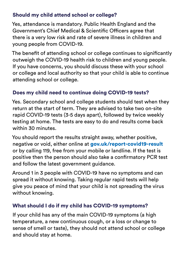# Should my child attend school or college?

Yes, attendance is mandatory. Public Health England and the Government's Chief Medical & Scientific Officers agree that there is a very low risk and rate of severe illness in children and young people from COVID-19.

The benefit of attending school or college continues to significantly outweigh the COVID-19 health risk to children and young people. If you have concerns, you should discuss these with your school or college and local authority so that your child is able to continue attending school or college.

# Does my child need to continue doing COVID-19 tests?

Yes. Secondary school and college students should test when they return at the start of term. They are advised to take two on-site rapid COVID-19 tests (3-5 days apart), followed by twice weekly testing at home. The tests are easy to do and results come back within 30 minutes.

You should report the results straight away, whether positive, negative or void, either online at [gov.uk/report-covid19-result](https://www.gov.uk/report-covid19-result) or by calling 119, free from your mobile or landline. If the test is positive then the person should also take a confirmatory PCR test and follow the latest government guidance.

Around 1 in 3 people with COVID-19 have no symptoms and can spread it without knowing. Taking regular rapid tests will help give you peace of mind that your child is not spreading the virus without knowing.

# What should I do if my child has COVID-19 symptoms?

If your child has any of the main COVID-19 symptoms (a high temperature, a new continuous cough, or a loss or change to sense of smell or taste), they should not attend school or college and should stay at home.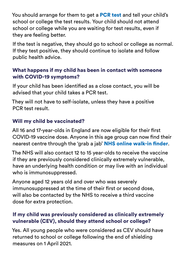You should arrange for them to get a **[PCR test](https://www.gov.uk/get-coronavirus-test)** and tell your child's school or college the test results. Your child should not attend school or college while you are waiting for test results, even if they are feeling better.

If the test is negative, they should go to school or college as normal. If they test positive, they should continue to isolate and follow public health advice.

#### What happens if my child has been in contact with someone with COVID-19 symptoms?

If your child has been identified as a close contact, you will be advised that your child takes a PCR test.

They will not have to self-isolate, unless they have a positive PCR test result.

# Will my child be vaccinated?

All 16 and 17-year-olds in England are now eligible for their first COVID-19 vaccine dose. Anyone in this age group can now find their nearest centre through the 'grab a jab' [NHS online walk-in finder](https://www.nhs.uk/conditions/coronavirus-covid-19/coronavirus-vaccination/find-a-walk-in-coronavirus-covid-19-vaccination-site/).

The NHS will also contact 12 to 15 year-olds to receive the vaccine if they are previously considered clinically extremely vulnerable, have an underlying health condition or may live with an individual who is immunosuppressed.

Anyone aged 12 years old and over who was severely immunosuppressed at the time of their first or second dose, will also be contacted by the NHS to receive a third vaccine dose for extra protection.

#### If my child was previously considered as clinically extremely vulnerable (CEV), should they attend school or college?

Yes. All young people who were considered as CEV should have returned to school or college following the end of shielding measures on 1 April 2021.